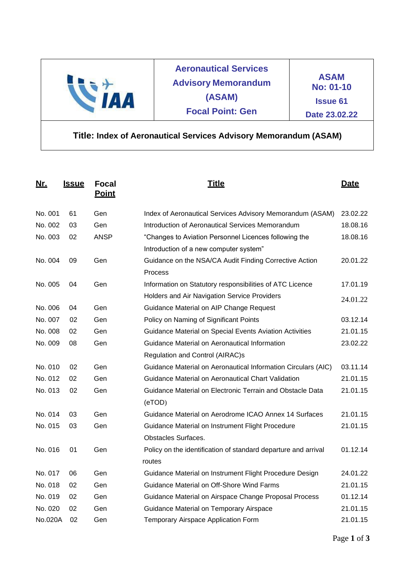| $\sqrt{1}$ | <b>Aeronautical Services</b><br><b>Advisory Memorandum</b><br>(ASAM)<br><b>Focal Point: Gen</b> | <b>ASAM</b><br><b>No: 01-10</b><br><b>Issue 61</b><br>Date 23.02.22 |
|------------|-------------------------------------------------------------------------------------------------|---------------------------------------------------------------------|
|------------|-------------------------------------------------------------------------------------------------|---------------------------------------------------------------------|

## **Title: Index of Aeronautical Services Advisory Memorandum (ASAM)**

| <u>Nr.</u> | <u>Issue</u> | <b>Focal</b><br><b>Point</b> | <u>Title</u>                                                   | Date     |
|------------|--------------|------------------------------|----------------------------------------------------------------|----------|
| No. 001    | 61           | Gen                          | Index of Aeronautical Services Advisory Memorandum (ASAM)      | 23.02.22 |
| No. 002    | 03           | Gen                          | Introduction of Aeronautical Services Memorandum               | 18.08.16 |
| No. 003    | 02           | <b>ANSP</b>                  | "Changes to Aviation Personnel Licences following the          | 18.08.16 |
|            |              |                              | Introduction of a new computer system"                         |          |
| No. 004    | 09           | Gen                          | Guidance on the NSA/CA Audit Finding Corrective Action         | 20.01.22 |
|            |              |                              | Process                                                        |          |
| No. 005    | 04           | Gen                          | Information on Statutory responsibilities of ATC Licence       | 17.01.19 |
|            |              |                              | Holders and Air Navigation Service Providers                   | 24.01.22 |
| No. 006    | 04           | Gen                          | Guidance Material on AIP Change Request                        |          |
| No. 007    | 02           | Gen                          | Policy on Naming of Significant Points                         | 03.12.14 |
| No. 008    | 02           | Gen                          | Guidance Material on Special Events Aviation Activities        | 21.01.15 |
| No. 009    | 08           | Gen                          | Guidance Material on Aeronautical Information                  | 23.02.22 |
|            |              |                              | Regulation and Control (AIRAC)s                                |          |
| No. 010    | 02           | Gen                          | Guidance Material on Aeronautical Information Circulars (AIC)  | 03.11.14 |
| No. 012    | 02           | Gen                          | Guidance Material on Aeronautical Chart Validation             | 21.01.15 |
| No. 013    | 02           | Gen                          | Guidance Material on Electronic Terrain and Obstacle Data      | 21.01.15 |
|            |              |                              | (eTOD)                                                         |          |
| No. 014    | 03           | Gen                          | Guidance Material on Aerodrome ICAO Annex 14 Surfaces          | 21.01.15 |
| No. 015    | 03           | Gen                          | Guidance Material on Instrument Flight Procedure               | 21.01.15 |
|            |              |                              | <b>Obstacles Surfaces.</b>                                     |          |
| No. 016    | 01           | Gen                          | Policy on the identification of standard departure and arrival | 01.12.14 |
|            |              |                              | routes                                                         |          |
| No. 017    | 06           | Gen                          | Guidance Material on Instrument Flight Procedure Design        | 24.01.22 |
| No. 018    | 02           | Gen                          | Guidance Material on Off-Shore Wind Farms                      | 21.01.15 |
| No. 019    | 02           | Gen                          | Guidance Material on Airspace Change Proposal Process          | 01.12.14 |
| No. 020    | 02           | Gen                          | Guidance Material on Temporary Airspace                        | 21.01.15 |
| No.020A    | 02           | Gen                          | Temporary Airspace Application Form                            | 21.01.15 |
|            |              |                              |                                                                |          |

Page **1** of **3**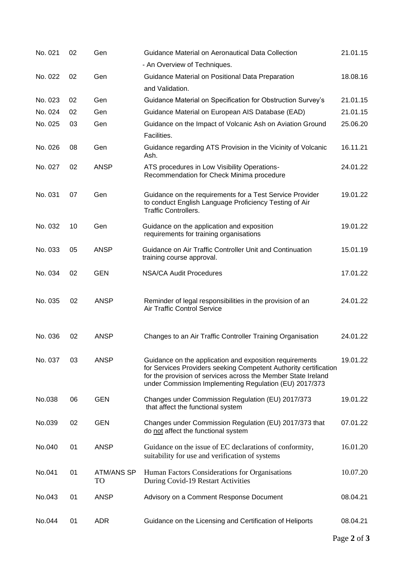| No. 021 | 02 | Gen                     | Guidance Material on Aeronautical Data Collection<br>- An Overview of Techniques.                                                                                                                                                                      | 21.01.15 |
|---------|----|-------------------------|--------------------------------------------------------------------------------------------------------------------------------------------------------------------------------------------------------------------------------------------------------|----------|
| No. 022 | 02 | Gen                     | Guidance Material on Positional Data Preparation                                                                                                                                                                                                       | 18.08.16 |
|         |    |                         | and Validation.                                                                                                                                                                                                                                        |          |
| No. 023 | 02 | Gen                     | Guidance Material on Specification for Obstruction Survey's                                                                                                                                                                                            | 21.01.15 |
| No. 024 | 02 | Gen                     | Guidance Material on European AIS Database (EAD)                                                                                                                                                                                                       | 21.01.15 |
| No. 025 | 03 | Gen                     | Guidance on the Impact of Volcanic Ash on Aviation Ground                                                                                                                                                                                              | 25.06.20 |
|         |    |                         | Facilities.                                                                                                                                                                                                                                            |          |
| No. 026 | 08 | Gen                     | Guidance regarding ATS Provision in the Vicinity of Volcanic<br>Ash.                                                                                                                                                                                   | 16.11.21 |
| No. 027 | 02 | <b>ANSP</b>             | ATS procedures in Low Visibility Operations-<br>Recommendation for Check Minima procedure                                                                                                                                                              | 24.01.22 |
| No. 031 | 07 | Gen                     | Guidance on the requirements for a Test Service Provider<br>to conduct English Language Proficiency Testing of Air<br><b>Traffic Controllers.</b>                                                                                                      | 19.01.22 |
| No. 032 | 10 | Gen                     | Guidance on the application and exposition<br>requirements for training organisations                                                                                                                                                                  | 19.01.22 |
| No. 033 | 05 | <b>ANSP</b>             | Guidance on Air Traffic Controller Unit and Continuation<br>training course approval.                                                                                                                                                                  | 15.01.19 |
| No. 034 | 02 | <b>GEN</b>              | <b>NSA/CA Audit Procedures</b>                                                                                                                                                                                                                         | 17.01.22 |
| No. 035 | 02 | <b>ANSP</b>             | Reminder of legal responsibilities in the provision of an<br><b>Air Traffic Control Service</b>                                                                                                                                                        | 24.01.22 |
| No. 036 | 02 | <b>ANSP</b>             | Changes to an Air Traffic Controller Training Organisation                                                                                                                                                                                             | 24.01.22 |
| No. 037 | 03 | <b>ANSP</b>             | Guidance on the application and exposition requirements<br>for Services Providers seeking Competent Authority certification<br>for the provision of services across the Member State Ireland<br>under Commission Implementing Regulation (EU) 2017/373 | 19.01.22 |
| No.038  | 06 | <b>GEN</b>              | Changes under Commission Regulation (EU) 2017/373<br>that affect the functional system                                                                                                                                                                 | 19.01.22 |
| No.039  | 02 | <b>GEN</b>              | Changes under Commission Regulation (EU) 2017/373 that<br>do not affect the functional system                                                                                                                                                          | 07.01.22 |
| No.040  | 01 | <b>ANSP</b>             | Guidance on the issue of EC declarations of conformity,<br>suitability for use and verification of systems                                                                                                                                             | 16.01.20 |
| No.041  | 01 | <b>ATM/ANS SP</b><br>TO | Human Factors Considerations for Organisations<br>During Covid-19 Restart Activities                                                                                                                                                                   | 10.07.20 |
| No.043  | 01 | <b>ANSP</b>             | Advisory on a Comment Response Document                                                                                                                                                                                                                | 08.04.21 |
| No.044  | 01 | <b>ADR</b>              | Guidance on the Licensing and Certification of Heliports                                                                                                                                                                                               | 08.04.21 |